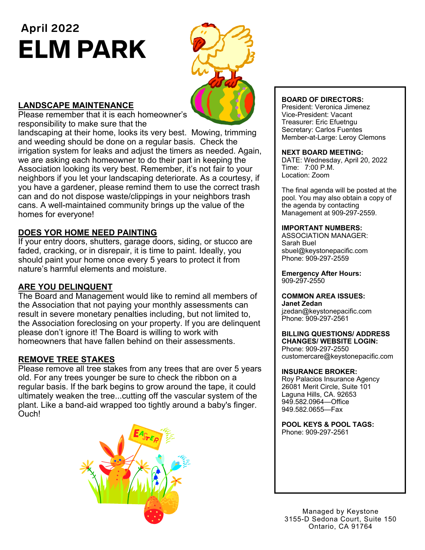# **April 2022**  ELM PARK



# **LANDSCAPE MAINTENANCE**

Please remember that it is each homeowner's responsibility to make sure that the

landscaping at their home, looks its very best. Mowing, trimming and weeding should be done on a regular basis. Check the irrigation system for leaks and adjust the timers as needed. Again, we are asking each homeowner to do their part in keeping the Association looking its very best. Remember, it's not fair to your neighbors if you let your landscaping deteriorate. As a courtesy, if you have a gardener, please remind them to use the correct trash can and do not dispose waste/clippings in your neighbors trash cans. A well-maintained community brings up the value of the homes for everyone!

# **DOES YOR HOME NEED PAINTING**

If your entry doors, shutters, garage doors, siding, or stucco are faded, cracking, or in disrepair, it is time to paint. Ideally, you should paint your home once every 5 years to protect it from nature's harmful elements and moisture.

# **ARE YOU DELINQUENT**

The Board and Management would like to remind all members of the Association that not paying your monthly assessments can result in severe monetary penalties including, but not limited to, the Association foreclosing on your property. If you are delinquent please don't ignore it! The Board is willing to work with homeowners that have fallen behind on their assessments.

## **REMOVE TREE STAKES**

Please remove all tree stakes from any trees that are over 5 years old. For any trees younger be sure to check the ribbon on a regular basis. If the bark begins to grow around the tape, it could ultimately weaken the tree...cutting off the vascular system of the plant. Like a band-aid wrapped too tightly around a baby's finger. Ouch!



### **BOARD OF DIRECTORS:**

President: Veronica Jimenez Vice-President: Vacant Treasurer: Eric Efuetngu Secretary: Carlos Fuentes Member-at-Large: Leroy Clemons

#### **NEXT BOARD MEETING:**

DATE: Wednesday, April 20, 2022 Time: 7:00 P.M. Location: Zoom

The final agenda will be posted at the pool. You may also obtain a copy of the agenda by contacting Management at 909-297-2559.

#### **IMPORTANT NUMBERS:**

ASSOCIATION MANAGER: Sarah Buel sbuel@keystonepacific.com Phone: 909-297-2559

**Emergency After Hours:**  909-297-2550

#### **COMMON AREA ISSUES:**

**Janet Zedan** jzedan@keystonepacific.com Phone: 909-297-2561

#### **BILLING QUESTIONS/ ADDRESS CHANGES/ WEBSITE LOGIN:**

Phone: 909-297-2550 customercare@keystonepacific.com

#### **INSURANCE BROKER:**

Roy Palacios Insurance Agency 26081 Merit Circle, Suite 101 Laguna Hills, CA. 92653 949.582.0964—Office 949.582.0655—Fax

**POOL KEYS & POOL TAGS:**  Phone: 909-297-2561

Managed by Keystone 3155-D Sedona Court, Suite 150 Ontario, CA 91764